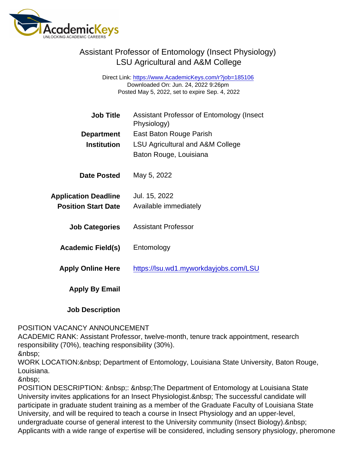## Assistant Professor of Entomology (Insect Physiology) LSU Agricultural and A&M College

Direct Link: <https://www.AcademicKeys.com/r?job=185106> Downloaded On: Jun. 24, 2022 9:26pm Posted May 5, 2022, set to expire Sep. 4, 2022

| <b>Job Title</b>            | Assistant Professor of Entomology (Insect<br>Physiology) |
|-----------------------------|----------------------------------------------------------|
| Department                  | East Baton Rouge Parish                                  |
| Institution                 | LSU Agricultural and A&M College                         |
|                             | Baton Rouge, Louisiana                                   |
| Date Posted                 | May 5, 2022                                              |
| <b>Application Deadline</b> | Jul. 15, 2022                                            |
| <b>Position Start Date</b>  | Available immediately                                    |
| <b>Job Categories</b>       | Assistant Professor                                      |
| Academic Field(s)           | Entomology                                               |
| <b>Apply Online Here</b>    | https://lsu.wd1.myworkdayjobs.com/LSU                    |
| Apply By Email              |                                                          |

Job Description

## POSITION VACANCY ANNOUNCEMENT

ACADEMIC RANK: Assistant Professor, twelve-month, tenure track appointment, research responsibility (70%), teaching responsibility (30%).

WORK LOCATION: & nbsp; Department of Entomology, Louisiana State University, Baton Rouge, Louisiana.

POSITION DESCRIPTION: : The Department of Entomology at Louisiana State University invites applications for an Insect Physiologist. & nbsp; The successful candidate will participate in graduate student training as a member of the Graduate Faculty of Louisiana State University, and will be required to teach a course in Insect Physiology and an upper-level, undergraduate course of general interest to the University community (Insect Biology). Applicants with a wide range of expertise will be considered, including sensory physiology, pheromone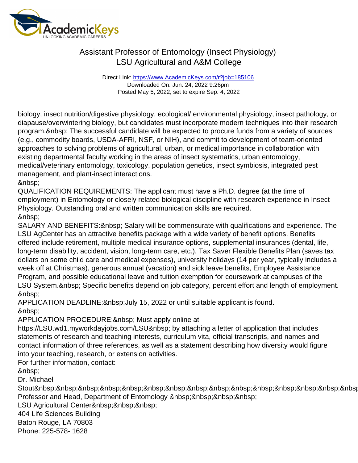## Assistant Professor of Entomology (Insect Physiology) LSU Agricultural and A&M College

Direct Link: <https://www.AcademicKeys.com/r?job=185106> Downloaded On: Jun. 24, 2022 9:26pm Posted May 5, 2022, set to expire Sep. 4, 2022

biology, insect nutrition/digestive physiology, ecological/ environmental physiology, insect pathology, or diapause/overwintering biology, but candidates must incorporate modern techniques into their research program. The successful candidate will be expected to procure funds from a variety of sources (e.g., commodity boards, USDA-AFRI, NSF, or NIH), and commit to development of team-oriented approaches to solving problems of agricultural, urban, or medical importance in collaboration with existing departmental faculty working in the areas of insect systematics, urban entomology, medical/veterinary entomology, toxicology, population genetics, insect symbiosis, integrated pest management, and plant-insect interactions.

QUALIFICATION REQUIREMENTS: The applicant must have a Ph.D. degree (at the time of employment) in Entomology or closely related biological discipline with research experience in Insect Physiology. Outstanding oral and written communication skills are required. &nbsp:

SALARY AND BENEFITS: & nbsp; Salary will be commensurate with qualifications and experience. The LSU AgCenter has an attractive benefits package with a wide variety of benefit options. Benefits offered include retirement, multiple medical insurance options, supplemental insurances (dental, life, long-term disability, accident, vision, long-term care, etc.), Tax Saver Flexible Benefits Plan (saves tax dollars on some child care and medical expenses), university holidays (14 per year, typically includes a week off at Christmas), generous annual (vacation) and sick leave benefits, Employee Assistance Program, and possible educational leave and tuition exemption for coursework at campuses of the LSU System. Specific benefits depend on job category, percent effort and length of employment. &nbsp:

APPLICATION DEADLINE: & nbsp; July 15, 2022 or until suitable applicant is found. 

APPLICATION PROCEDURE: & nbsp; Must apply online at

https://LSU.wd1.myworkdayjobs.com/LSU by attaching a letter of application that includes statements of research and teaching interests, curriculum vita, official transcripts, and names and contact information of three references, as well as a statement describing how diversity would figure into your teaching, research, or extension activities.

For further information, contact:

Dr. Michael

Stout Professor and Head, Department of Entomology

LSU Agricultural Center

404 Life Sciences Building

Baton Rouge, LA 70803

Phone: 225-578- 1628